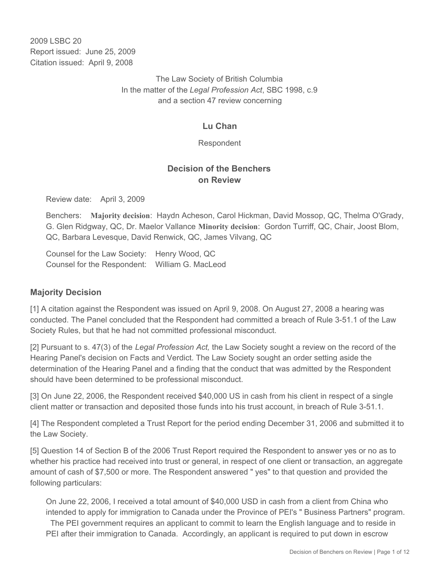2009 LSBC 20 Report issued: June 25, 2009 Citation issued: April 9, 2008

> The Law Society of British Columbia In the matter of the *Legal Profession Act*, SBC 1998, c.9 and a section 47 review concerning

# **Lu Chan**

Respondent

# **Decision of the Benchers on Review**

Review date: April 3, 2009

Benchers: **Majority decision**: Haydn Acheson, Carol Hickman, David Mossop, QC, Thelma O'Grady, G. Glen Ridgway, QC, Dr. Maelor Vallance **Minority decision**: Gordon Turriff, QC, Chair, Joost Blom, QC, Barbara Levesque, David Renwick, QC, James Vilvang, QC

Counsel for the Law Society: Henry Wood, QC Counsel for the Respondent: William G. MacLeod

## **Majority Decision**

[1] A citation against the Respondent was issued on April 9, 2008. On August 27, 2008 a hearing was conducted. The Panel concluded that the Respondent had committed a breach of Rule 3-51.1 of the Law Society Rules, but that he had not committed professional misconduct.

[2] Pursuant to s. 47(3) of the *Legal Profession Act,* the Law Society sought a review on the record of the Hearing Panel's decision on Facts and Verdict. The Law Society sought an order setting aside the determination of the Hearing Panel and a finding that the conduct that was admitted by the Respondent should have been determined to be professional misconduct.

[3] On June 22, 2006, the Respondent received \$40,000 US in cash from his client in respect of a single client matter or transaction and deposited those funds into his trust account, in breach of Rule 3-51.1.

[4] The Respondent completed a Trust Report for the period ending December 31, 2006 and submitted it to the Law Society.

[5] Question 14 of Section B of the 2006 Trust Report required the Respondent to answer yes or no as to whether his practice had received into trust or general, in respect of one client or transaction, an aggregate amount of cash of \$7,500 or more. The Respondent answered " yes" to that question and provided the following particulars:

On June 22, 2006, I received a total amount of \$40,000 USD in cash from a client from China who intended to apply for immigration to Canada under the Province of PEI's " Business Partners" program. The PEI government requires an applicant to commit to learn the English language and to reside in PEI after their immigration to Canada. Accordingly, an applicant is required to put down in escrow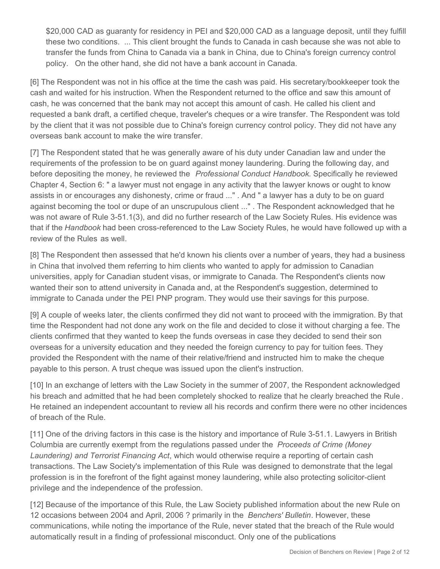\$20,000 CAD as guaranty for residency in PEI and \$20,000 CAD as a language deposit, until they fulfill these two conditions. ... This client brought the funds to Canada in cash because she was not able to transfer the funds from China to Canada via a bank in China, due to China's foreign currency control policy. On the other hand, she did not have a bank account in Canada.

[6] The Respondent was not in his office at the time the cash was paid. His secretary/bookkeeper took the cash and waited for his instruction. When the Respondent returned to the office and saw this amount of cash, he was concerned that the bank may not accept this amount of cash. He called his client and requested a bank draft, a certified cheque, traveler's cheques or a wire transfer. The Respondent was told by the client that it was not possible due to China's foreign currency control policy. They did not have any overseas bank account to make the wire transfer.

[7] The Respondent stated that he was generally aware of his duty under Canadian law and under the requirements of the profession to be on guard against money laundering. During the following day, and before depositing the money, he reviewed the *Professional Conduct Handbook.* Specifically he reviewed Chapter 4, Section 6: " a lawyer must not engage in any activity that the lawyer knows or ought to know assists in or encourages any dishonesty, crime or fraud ..." . And " a lawyer has a duty to be on guard against becoming the tool or dupe of an unscrupulous client ..." . The Respondent acknowledged that he was not aware of Rule 3-51.1(3), and did no further research of the Law Society Rules*.* His evidence was that if the *Handbook* had been cross-referenced to the Law Society Rules, he would have followed up with a review of the Rules as well.

[8] The Respondent then assessed that he'd known his clients over a number of years, they had a business in China that involved them referring to him clients who wanted to apply for admission to Canadian universities, apply for Canadian student visas, or immigrate to Canada. The Respondent's clients now wanted their son to attend university in Canada and, at the Respondent's suggestion, determined to immigrate to Canada under the PEI PNP program. They would use their savings for this purpose.

[9] A couple of weeks later, the clients confirmed they did not want to proceed with the immigration. By that time the Respondent had not done any work on the file and decided to close it without charging a fee. The clients confirmed that they wanted to keep the funds overseas in case they decided to send their son overseas for a university education and they needed the foreign currency to pay for tuition fees. They provided the Respondent with the name of their relative/friend and instructed him to make the cheque payable to this person. A trust cheque was issued upon the client's instruction.

[10] In an exchange of letters with the Law Society in the summer of 2007, the Respondent acknowledged his breach and admitted that he had been completely shocked to realize that he clearly breached the Rule *.* He retained an independent accountant to review all his records and confirm there were no other incidences of breach of the Rule.

[11] One of the driving factors in this case is the history and importance of Rule 3-51.1. Lawyers in British Columbia are currently exempt from the regulations passed under the *Proceeds of Crime (Money Laundering) and Terrorist Financing Act*, which would otherwise require a reporting of certain cash transactions. The Law Society's implementation of this Rule was designed to demonstrate that the legal profession is in the forefront of the fight against money laundering, while also protecting solicitor-client privilege and the independence of the profession.

[12] Because of the importance of this Rule, the Law Society published information about the new Rule on 12 occasions between 2004 and April, 2006 ? primarily in the *Benchers' Bulletin*. However, these communications, while noting the importance of the Rule, never stated that the breach of the Rule would automatically result in a finding of professional misconduct. Only one of the publications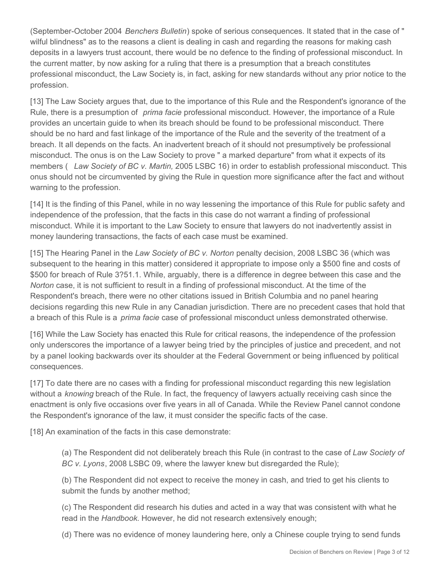(September-October 2004 *Benchers Bulletin*) spoke of serious consequences. It stated that in the case of " wilful blindness" as to the reasons a client is dealing in cash and regarding the reasons for making cash deposits in a lawyers trust account, there would be no defence to the finding of professional misconduct. In the current matter, by now asking for a ruling that there is a presumption that a breach constitutes professional misconduct, the Law Society is, in fact, asking for new standards without any prior notice to the profession.

[13] The Law Society argues that, due to the importance of this Rule and the Respondent's ignorance of the Rule, there is a presumption of *prima facie* professional misconduct. However, the importance of a Rule provides an uncertain guide to when its breach should be found to be professional misconduct. There should be no hard and fast linkage of the importance of the Rule and the severity of the treatment of a breach. It all depends on the facts. An inadvertent breach of it should not presumptively be professional misconduct. The onus is on the Law Society to prove " a marked departure" from what it expects of its members ( *Law Society of BC v. Martin,* 2005 LSBC 16) in order to establish professional misconduct. This onus should not be circumvented by giving the Rule in question more significance after the fact and without warning to the profession.

[14] It is the finding of this Panel, while in no way lessening the importance of this Rule for public safety and independence of the profession, that the facts in this case do not warrant a finding of professional misconduct. While it is important to the Law Society to ensure that lawyers do not inadvertently assist in money laundering transactions, the facts of each case must be examined.

[15] The Hearing Panel in the *Law Society of BC v. Norton* penalty decision, 2008 LSBC 36 (which was subsequent to the hearing in this matter) considered it appropriate to impose only a \$500 fine and costs of \$500 for breach of Rule 3?51.1. While, arguably, there is a difference in degree between this case and the *Norton* case, it is not sufficient to result in a finding of professional misconduct. At the time of the Respondent's breach, there were no other citations issued in British Columbia and no panel hearing decisions regarding this new Rule in any Canadian jurisdiction. There are no precedent cases that hold that a breach of this Rule is a *prima facie* case of professional misconduct unless demonstrated otherwise.

[16] While the Law Society has enacted this Rule for critical reasons, the independence of the profession only underscores the importance of a lawyer being tried by the principles of justice and precedent, and not by a panel looking backwards over its shoulder at the Federal Government or being influenced by political consequences.

[17] To date there are no cases with a finding for professional misconduct regarding this new legislation without a *knowing* breach of the Rule. In fact, the frequency of lawyers actually receiving cash since the enactment is only five occasions over five years in all of Canada. While the Review Panel cannot condone the Respondent's ignorance of the law, it must consider the specific facts of the case.

[18] An examination of the facts in this case demonstrate:

(a) The Respondent did not deliberately breach this Rule (in contrast to the case of *Law Society of BC v. Lyons*, 2008 LSBC 09, where the lawyer knew but disregarded the Rule);

(b) The Respondent did not expect to receive the money in cash, and tried to get his clients to submit the funds by another method;

(c) The Respondent did research his duties and acted in a way that was consistent with what he read in the *Handbook.* However, he did not research extensively enough;

(d) There was no evidence of money laundering here, only a Chinese couple trying to send funds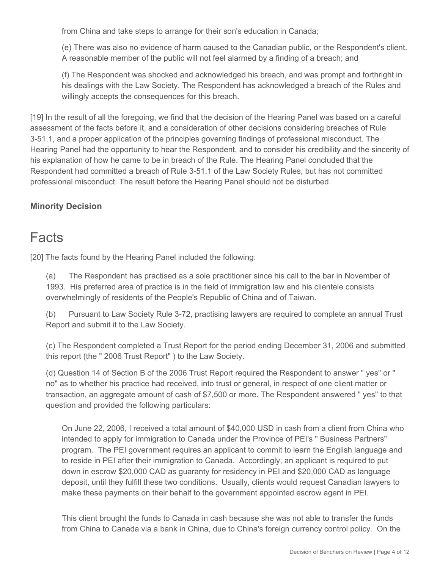from China and take steps to arrange for their son's education in Canada;

(e) There was also no evidence of harm caused to the Canadian public, or the Respondent's client. A reasonable member of the public will not feel alarmed by a finding of a breach; and

(f) The Respondent was shocked and acknowledged his breach, and was prompt and forthright in his dealings with the Law Society. The Respondent has acknowledged a breach of the Rules and willingly accepts the consequences for this breach.

[19] In the result of all the foregoing, we find that the decision of the Hearing Panel was based on a careful assessment of the facts before it, and a consideration of other decisions considering breaches of Rule 3-51.1, and a proper application of the principles governing findings of professional misconduct. The Hearing Panel had the opportunity to hear the Respondent, and to consider his credibility and the sincerity of his explanation of how he came to be in breach of the Rule. The Hearing Panel concluded that the Respondent had committed a breach of Rule 3-51.1 of the Law Society Rules, but has not committed professional misconduct. The result before the Hearing Panel should not be disturbed.

# **Minority Decision**

# Facts

[20] The facts found by the Hearing Panel included the following:

(a) The Respondent has practised as a sole practitioner since his call to the bar in November of 1993. His preferred area of practice is in the field of immigration law and his clientele consists overwhelmingly of residents of the People's Republic of China and of Taiwan.

(b) Pursuant to Law Society Rule 3-72, practising lawyers are required to complete an annual Trust Report and submit it to the Law Society.

(c) The Respondent completed a Trust Report for the period ending December 31, 2006 and submitted this report (the " 2006 Trust Report" ) to the Law Society.

(d) Question 14 of Section B of the 2006 Trust Report required the Respondent to answer " yes" or " no" as to whether his practice had received, into trust or general, in respect of one client matter or transaction, an aggregate amount of cash of \$7,500 or more. The Respondent answered " yes" to that question and provided the following particulars:

On June 22, 2006, I received a total amount of \$40,000 USD in cash from a client from China who intended to apply for immigration to Canada under the Province of PEI's " Business Partners" program. The PEI government requires an applicant to commit to learn the English language and to reside in PEI after their immigration to Canada. Accordingly, an applicant is required to put down in escrow \$20,000 CAD as guaranty for residency in PEI and \$20,000 CAD as language deposit, until they fulfill these two conditions. Usually, clients would request Canadian lawyers to make these payments on their behalf to the government appointed escrow agent in PEI.

This client brought the funds to Canada in cash because she was not able to transfer the funds from China to Canada via a bank in China, due to China's foreign currency control policy. On the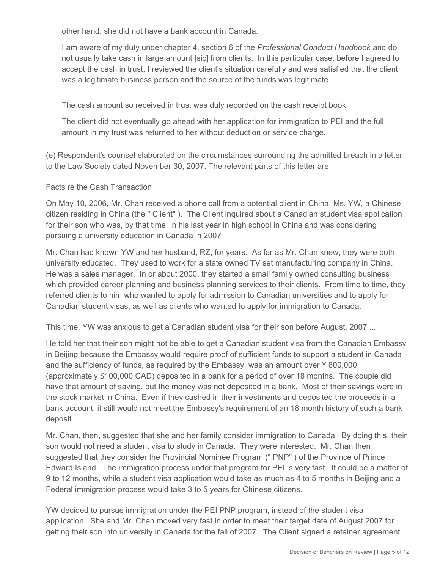other hand, she did not have a bank account in Canada.

I am aware of my duty under chapter 4, section 6 of the *Professional Conduct Handbook* and do not usually take cash in large amount [sic] from clients. In this particular case, before I agreed to accept the cash in trust, I reviewed the client's situation carefully and was satisfied that the client was a legitimate business person and the source of the funds was legitimate.

The cash amount so received in trust was duly recorded on the cash receipt book.

The client did not eventually go ahead with her application for immigration to PEI and the full amount in my trust was returned to her without deduction or service charge.

(e) Respondent's counsel elaborated on the circumstances surrounding the admitted breach in a letter to the Law Society dated November 30, 2007. The relevant parts of this letter are:

#### Facts re the Cash Transaction

On May 10, 2006, Mr. Chan received a phone call from a potential client in China, Ms. YW, a Chinese citizen residing in China (the " Client" ). The Client inquired about a Canadian student visa application for their son who was, by that time, in his last year in high school in China and was considering pursuing a university education in Canada in 2007

Mr. Chan had known YW and her husband, RZ, for years. As far as Mr. Chan knew, they were both university educated. They used to work for a state owned TV set manufacturing company in China. He was a sales manager. In or about 2000, they started a small family owned consulting business which provided career planning and business planning services to their clients. From time to time, they referred clients to him who wanted to apply for admission to Canadian universities and to apply for Canadian student visas, as well as clients who wanted to apply for immigration to Canada.

This time, YW was anxious to get a Canadian student visa for their son before August, 2007 ...

He told her that their son might not be able to get a Canadian student visa from the Canadian Embassy in Beijing because the Embassy would require proof of sufficient funds to support a student in Canada and the sufficiency of funds, as required by the Embassy, was an amount over ¥ 800,000 (approximately \$100,000 CAD) deposited in a bank for a period of over 18 months. The couple did have that amount of saving, but the money was not deposited in a bank. Most of their savings were in the stock market in China. Even if they cashed in their investments and deposited the proceeds in a bank account, it still would not meet the Embassy's requirement of an 18 month history of such a bank deposit.

Mr. Chan, then, suggested that she and her family consider immigration to Canada. By doing this, their son would not need a student visa to study in Canada. They were interested. Mr. Chan then suggested that they consider the Provincial Nominee Program (" PNP" ) of the Province of Prince Edward Island. The immigration process under that program for PEI is very fast. It could be a matter of 9 to 12 months, while a student visa application would take as much as 4 to 5 months in Beijing and a Federal immigration process would take 3 to 5 years for Chinese citizens.

YW decided to pursue immigration under the PEI PNP program, instead of the student visa application. She and Mr. Chan moved very fast in order to meet their target date of August 2007 for getting their son into university in Canada for the fall of 2007. The Client signed a retainer agreement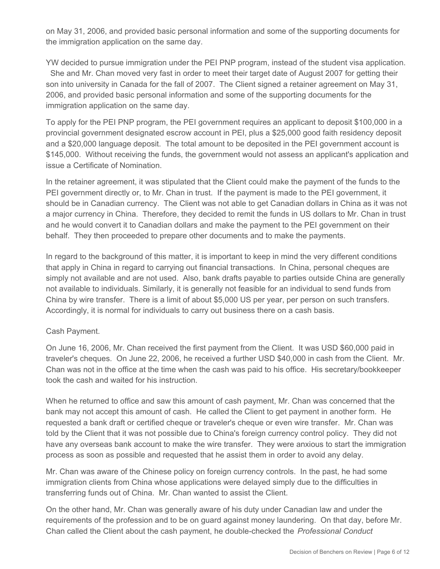on May 31, 2006, and provided basic personal information and some of the supporting documents for the immigration application on the same day.

YW decided to pursue immigration under the PEI PNP program, instead of the student visa application. She and Mr. Chan moved very fast in order to meet their target date of August 2007 for getting their son into university in Canada for the fall of 2007. The Client signed a retainer agreement on May 31, 2006, and provided basic personal information and some of the supporting documents for the immigration application on the same day.

To apply for the PEI PNP program, the PEI government requires an applicant to deposit \$100,000 in a provincial government designated escrow account in PEI, plus a \$25,000 good faith residency deposit and a \$20,000 language deposit. The total amount to be deposited in the PEI government account is \$145,000. Without receiving the funds, the government would not assess an applicant's application and issue a Certificate of Nomination.

In the retainer agreement, it was stipulated that the Client could make the payment of the funds to the PEI government directly or, to Mr. Chan in trust. If the payment is made to the PEI government, it should be in Canadian currency. The Client was not able to get Canadian dollars in China as it was not a major currency in China. Therefore, they decided to remit the funds in US dollars to Mr. Chan in trust and he would convert it to Canadian dollars and make the payment to the PEI government on their behalf. They then proceeded to prepare other documents and to make the payments.

In regard to the background of this matter, it is important to keep in mind the very different conditions that apply in China in regard to carrying out financial transactions. In China, personal cheques are simply not available and are not used. Also, bank drafts payable to parties outside China are generally not available to individuals. Similarly, it is generally not feasible for an individual to send funds from China by wire transfer. There is a limit of about \$5,000 US per year, per person on such transfers. Accordingly, it is normal for individuals to carry out business there on a cash basis.

## Cash Payment.

On June 16, 2006, Mr. Chan received the first payment from the Client. It was USD \$60,000 paid in traveler's cheques. On June 22, 2006, he received a further USD \$40,000 in cash from the Client. Mr. Chan was not in the office at the time when the cash was paid to his office. His secretary/bookkeeper took the cash and waited for his instruction.

When he returned to office and saw this amount of cash payment, Mr. Chan was concerned that the bank may not accept this amount of cash. He called the Client to get payment in another form. He requested a bank draft or certified cheque or traveler's cheque or even wire transfer. Mr. Chan was told by the Client that it was not possible due to China's foreign currency control policy. They did not have any overseas bank account to make the wire transfer. They were anxious to start the immigration process as soon as possible and requested that he assist them in order to avoid any delay.

Mr. Chan was aware of the Chinese policy on foreign currency controls. In the past, he had some immigration clients from China whose applications were delayed simply due to the difficulties in transferring funds out of China. Mr. Chan wanted to assist the Client.

On the other hand, Mr. Chan was generally aware of his duty under Canadian law and under the requirements of the profession and to be on guard against money laundering. On that day, before Mr. Chan called the Client about the cash payment, he double-checked the *Professional Conduct*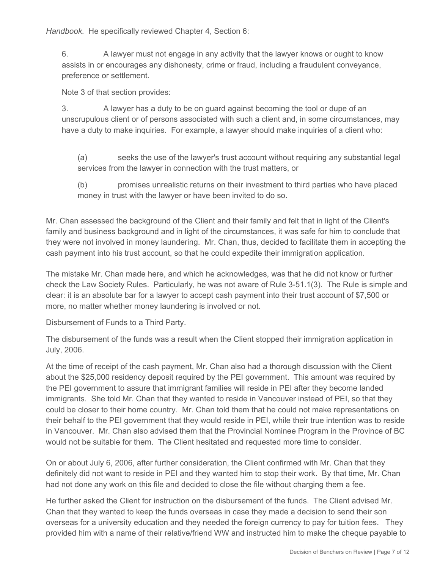*Handbook*. He specifically reviewed Chapter 4, Section 6:

6. A lawyer must not engage in any activity that the lawyer knows or ought to know assists in or encourages any dishonesty, crime or fraud, including a fraudulent conveyance, preference or settlement.

Note 3 of that section provides:

3. A lawyer has a duty to be on guard against becoming the tool or dupe of an unscrupulous client or of persons associated with such a client and, in some circumstances, may have a duty to make inquiries. For example, a lawyer should make inquiries of a client who:

(a) seeks the use of the lawyer's trust account without requiring any substantial legal services from the lawyer in connection with the trust matters, or

(b) promises unrealistic returns on their investment to third parties who have placed money in trust with the lawyer or have been invited to do so.

Mr. Chan assessed the background of the Client and their family and felt that in light of the Client's family and business background and in light of the circumstances, it was safe for him to conclude that they were not involved in money laundering. Mr. Chan, thus, decided to facilitate them in accepting the cash payment into his trust account, so that he could expedite their immigration application.

The mistake Mr. Chan made here, and which he acknowledges, was that he did not know or further check the Law Society Rules. Particularly, he was not aware of Rule 3-51.1(3). The Rule is simple and clear: it is an absolute bar for a lawyer to accept cash payment into their trust account of \$7,500 or more, no matter whether money laundering is involved or not.

Disbursement of Funds to a Third Party.

The disbursement of the funds was a result when the Client stopped their immigration application in July, 2006.

At the time of receipt of the cash payment, Mr. Chan also had a thorough discussion with the Client about the \$25,000 residency deposit required by the PEI government. This amount was required by the PEI government to assure that immigrant families will reside in PEI after they become landed immigrants. She told Mr. Chan that they wanted to reside in Vancouver instead of PEI, so that they could be closer to their home country. Mr. Chan told them that he could not make representations on their behalf to the PEI government that they would reside in PEI, while their true intention was to reside in Vancouver. Mr. Chan also advised them that the Provincial Nominee Program in the Province of BC would not be suitable for them. The Client hesitated and requested more time to consider.

On or about July 6, 2006, after further consideration, the Client confirmed with Mr. Chan that they definitely did not want to reside in PEI and they wanted him to stop their work. By that time, Mr. Chan had not done any work on this file and decided to close the file without charging them a fee.

He further asked the Client for instruction on the disbursement of the funds. The Client advised Mr. Chan that they wanted to keep the funds overseas in case they made a decision to send their son overseas for a university education and they needed the foreign currency to pay for tuition fees. They provided him with a name of their relative/friend WW and instructed him to make the cheque payable to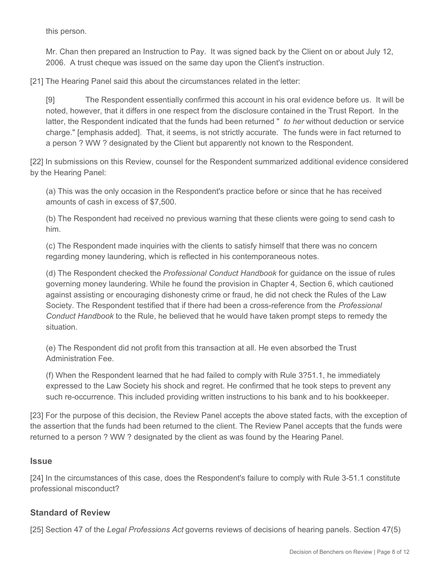this person.

Mr. Chan then prepared an Instruction to Pay. It was signed back by the Client on or about July 12, 2006. A trust cheque was issued on the same day upon the Client's instruction.

[21] The Hearing Panel said this about the circumstances related in the letter:

[9] The Respondent essentially confirmed this account in his oral evidence before us. It will be noted, however, that it differs in one respect from the disclosure contained in the Trust Report. In the latter, the Respondent indicated that the funds had been returned " *to her* without deduction or service charge." [emphasis added]. That, it seems, is not strictly accurate. The funds were in fact returned to a person ? WW ? designated by the Client but apparently not known to the Respondent.

[22] In submissions on this Review, counsel for the Respondent summarized additional evidence considered by the Hearing Panel:

(a) This was the only occasion in the Respondent's practice before or since that he has received amounts of cash in excess of \$7,500.

(b) The Respondent had received no previous warning that these clients were going to send cash to him.

(c) The Respondent made inquiries with the clients to satisfy himself that there was no concern regarding money laundering, which is reflected in his contemporaneous notes.

(d) The Respondent checked the *Professional Conduct Handbook* for guidance on the issue of rules governing money laundering. While he found the provision in Chapter 4, Section 6, which cautioned against assisting or encouraging dishonesty crime or fraud, he did not check the Rules of the Law Society. The Respondent testified that if there had been a cross-reference from the *Professional Conduct Handbook* to the Rule, he believed that he would have taken prompt steps to remedy the situation.

(e) The Respondent did not profit from this transaction at all. He even absorbed the Trust Administration Fee.

(f) When the Respondent learned that he had failed to comply with Rule 3?51.1, he immediately expressed to the Law Society his shock and regret. He confirmed that he took steps to prevent any such re-occurrence. This included providing written instructions to his bank and to his bookkeeper.

[23] For the purpose of this decision, the Review Panel accepts the above stated facts, with the exception of the assertion that the funds had been returned to the client. The Review Panel accepts that the funds were returned to a person ? WW ? designated by the client as was found by the Hearing Panel.

## **Issue**

[24] In the circumstances of this case, does the Respondent's failure to comply with Rule 3-51.1 constitute professional misconduct?

## **Standard of Review**

[25] Section 47 of the *Legal Professions Act* governs reviews of decisions of hearing panels. Section 47(5)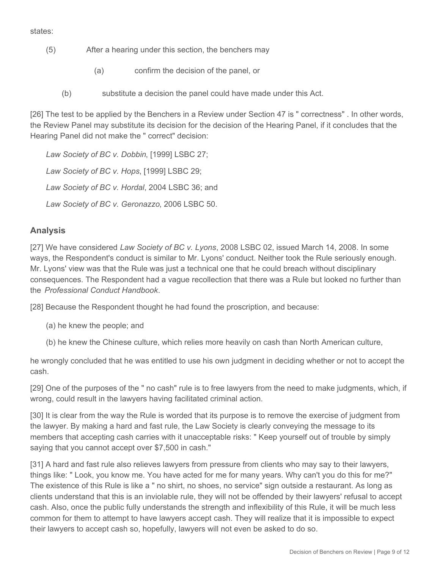states:

- (5) After a hearing under this section, the benchers may
	- (a) confirm the decision of the panel, or
	- (b) substitute a decision the panel could have made under this Act.

[26] The test to be applied by the Benchers in a Review under Section 47 is " correctness". In other words, the Review Panel may substitute its decision for the decision of the Hearing Panel, if it concludes that the Hearing Panel did not make the " correct" decision:

*Law Society of BC v. Dobbin*, [1999] LSBC 27; *Law Society of BC v. Hops*, [1999] LSBC 29; *Law Society of BC v. Hordal*, 2004 LSBC 36; and *Law Society of BC v. Geronazzo*, 2006 LSBC 50.

# **Analysis**

[27] We have considered *Law Society of BC v. Lyons*, 2008 LSBC 02, issued March 14, 2008. In some ways, the Respondent's conduct is similar to Mr. Lyons' conduct. Neither took the Rule seriously enough. Mr. Lyons' view was that the Rule was just a technical one that he could breach without disciplinary consequences. The Respondent had a vague recollection that there was a Rule but looked no further than the *Professional Conduct Handbook*.

[28] Because the Respondent thought he had found the proscription, and because:

- (a) he knew the people; and
- (b) he knew the Chinese culture, which relies more heavily on cash than North American culture,

he wrongly concluded that he was entitled to use his own judgment in deciding whether or not to accept the cash.

[29] One of the purposes of the " no cash" rule is to free lawyers from the need to make judgments, which, if wrong, could result in the lawyers having facilitated criminal action.

[30] It is clear from the way the Rule is worded that its purpose is to remove the exercise of judgment from the lawyer. By making a hard and fast rule, the Law Society is clearly conveying the message to its members that accepting cash carries with it unacceptable risks: " Keep yourself out of trouble by simply saying that you cannot accept over \$7,500 in cash."

[31] A hard and fast rule also relieves lawyers from pressure from clients who may say to their lawyers, things like: " Look, you know me. You have acted for me for many years. Why can't you do this for me?" The existence of this Rule is like a " no shirt, no shoes, no service" sign outside a restaurant. As long as clients understand that this is an inviolable rule, they will not be offended by their lawyers' refusal to accept cash. Also, once the public fully understands the strength and inflexibility of this Rule, it will be much less common for them to attempt to have lawyers accept cash. They will realize that it is impossible to expect their lawyers to accept cash so, hopefully, lawyers will not even be asked to do so.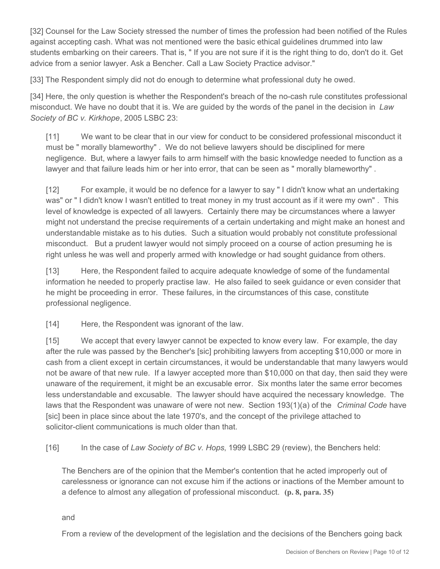[32] Counsel for the Law Society stressed the number of times the profession had been notified of the Rules against accepting cash. What was not mentioned were the basic ethical guidelines drummed into law students embarking on their careers. That is, " If you are not sure if it is the right thing to do, don't do it. Get advice from a senior lawyer. Ask a Bencher. Call a Law Society Practice advisor."

[33] The Respondent simply did not do enough to determine what professional duty he owed.

[34] Here, the only question is whether the Respondent's breach of the no-cash rule constitutes professional misconduct. We have no doubt that it is. We are guided by the words of the panel in the decision in *Law Society of BC v. Kirkhope*, 2005 LSBC 23:

[11] We want to be clear that in our view for conduct to be considered professional misconduct it must be " morally blameworthy" . We do not believe lawyers should be disciplined for mere negligence. But, where a lawyer fails to arm himself with the basic knowledge needed to function as a lawyer and that failure leads him or her into error, that can be seen as " morally blameworthy" .

[12] For example, it would be no defence for a lawyer to say " I didn't know what an undertaking was" or " I didn't know I wasn't entitled to treat money in my trust account as if it were my own" . This level of knowledge is expected of all lawyers. Certainly there may be circumstances where a lawyer might not understand the precise requirements of a certain undertaking and might make an honest and understandable mistake as to his duties. Such a situation would probably not constitute professional misconduct. But a prudent lawyer would not simply proceed on a course of action presuming he is right unless he was well and properly armed with knowledge or had sought guidance from others.

[13] Here, the Respondent failed to acquire adequate knowledge of some of the fundamental information he needed to properly practise law. He also failed to seek guidance or even consider that he might be proceeding in error. These failures, in the circumstances of this case, constitute professional negligence.

[14] Here, the Respondent was ignorant of the law.

[15] We accept that every lawyer cannot be expected to know every law. For example, the day after the rule was passed by the Bencher's [sic] prohibiting lawyers from accepting \$10,000 or more in cash from a client except in certain circumstances, it would be understandable that many lawyers would not be aware of that new rule. If a lawyer accepted more than \$10,000 on that day, then said they were unaware of the requirement, it might be an excusable error. Six months later the same error becomes less understandable and excusable. The lawyer should have acquired the necessary knowledge. The laws that the Respondent was unaware of were not new. Section 193(1)(a) of the *Criminal Code* have [sic] been in place since about the late 1970's, and the concept of the privilege attached to solicitor-client communications is much older than that.

[16] In the case of *Law Society of BC v. Hops*, 1999 LSBC 29 (review), the Benchers held:

The Benchers are of the opinion that the Member's contention that he acted improperly out of carelessness or ignorance can not excuse him if the actions or inactions of the Member amount to a defence to almost any allegation of professional misconduct. **(p. 8, para. 35)**

and

From a review of the development of the legislation and the decisions of the Benchers going back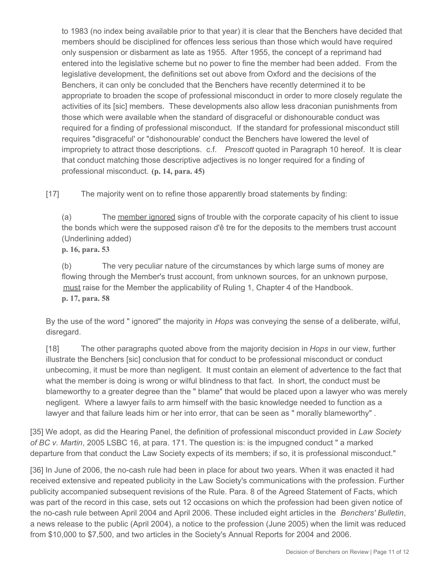to 1983 (no index being available prior to that year) it is clear that the Benchers have decided that members should be disciplined for offences less serious than those which would have required only suspension or disbarment as late as 1955. After 1955, the concept of a reprimand had entered into the legislative scheme but no power to fine the member had been added. From the legislative development, the definitions set out above from Oxford and the decisions of the Benchers, it can only be concluded that the Benchers have recently determined it to be appropriate to broaden the scope of professional misconduct in order to more closely regulate the activities of its [sic] members. These developments also allow less draconian punishments from those which were available when the standard of disgraceful or dishonourable conduct was required for a finding of professional misconduct. If the standard for professional misconduct still requires "disgraceful' or "dishonourable' conduct the Benchers have lowered the level of impropriety to attract those descriptions. c.f. *Prescott* quoted in Paragraph 10 hereof. It is clear that conduct matching those descriptive adjectives is no longer required for a finding of professional misconduct. **(p. 14, para. 45)**

[17] The majority went on to refine those apparently broad statements by finding:

(a) The member ignored signs of trouble with the corporate capacity of his client to issue the bonds which were the supposed raison d'ê tre for the deposits to the members trust account (Underlining added)

**p. 16, para. 53**

(b) The very peculiar nature of the circumstances by which large sums of money are flowing through the Member's trust account, from unknown sources, for an unknown purpose, must raise for the Member the applicability of Ruling 1, Chapter 4 of the Handbook. **p. 17, para. 58**

By the use of the word " ignored" the majority in *Hops* was conveying the sense of a deliberate, wilful, disregard.

[18] The other paragraphs quoted above from the majority decision in *Hops* in our view, further illustrate the Benchers [sic] conclusion that for conduct to be professional misconduct or conduct unbecoming, it must be more than negligent. It must contain an element of advertence to the fact that what the member is doing is wrong or wilful blindness to that fact. In short, the conduct must be blameworthy to a greater degree than the " blame" that would be placed upon a lawyer who was merely negligent. Where a lawyer fails to arm himself with the basic knowledge needed to function as a lawyer and that failure leads him or her into error, that can be seen as " morally blameworthy" .

[35] We adopt, as did the Hearing Panel, the definition of professional misconduct provided in *Law Society of BC v. Martin*, 2005 LSBC 16, at para. 171. The question is: is the impugned conduct " a marked departure from that conduct the Law Society expects of its members; if so, it is professional misconduct."

[36] In June of 2006, the no-cash rule had been in place for about two years. When it was enacted it had received extensive and repeated publicity in the Law Society's communications with the profession. Further publicity accompanied subsequent revisions of the Rule. Para. 8 of the Agreed Statement of Facts, which was part of the record in this case, sets out 12 occasions on which the profession had been given notice of the no-cash rule between April 2004 and April 2006. These included eight articles in the *Benchers' Bulletin*, a news release to the public (April 2004), a notice to the profession (June 2005) when the limit was reduced from \$10,000 to \$7,500, and two articles in the Society's Annual Reports for 2004 and 2006.